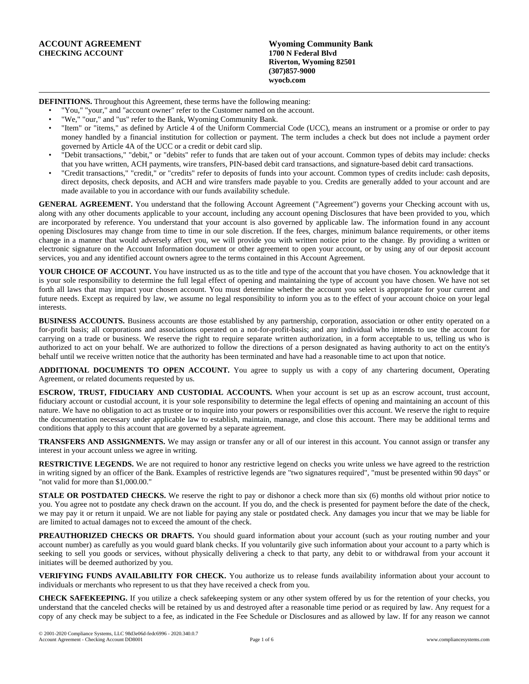**DEFINITIONS.** Throughout this Agreement, these terms have the following meaning:

- "You," "your," and "account owner" refer to the Customer named on the account.
- "We," "our," and "us" refer to the Bank, Wyoming Community Bank.
- "Item" or "items," as defined by Article 4 of the Uniform Commercial Code (UCC), means an instrument or a promise or order to pay money handled by a financial institution for collection or payment. The term includes a check but does not include a payment order governed by Article 4A of the UCC or a credit or debit card slip.
- "Debit transactions," "debit," or "debits" refer to funds that are taken out of your account. Common types of debits may include: checks that you have written, ACH payments, wire transfers, PIN-based debit card transactions, and signature-based debit card transactions.
- "Credit transactions," "credit," or "credits" refer to deposits of funds into your account. Common types of credits include: cash deposits, direct deposits, check deposits, and ACH and wire transfers made payable to you. Credits are generally added to your account and are made available to you in accordance with our funds availability schedule.

**GENERAL AGREEMENT.** You understand that the following Account Agreement ("Agreement") governs your Checking account with us, along with any other documents applicable to your account, including any account opening Disclosures that have been provided to you, which are incorporated by reference. You understand that your account is also governed by applicable law. The information found in any account opening Disclosures may change from time to time in our sole discretion. If the fees, charges, minimum balance requirements, or other items change in a manner that would adversely affect you, we will provide you with written notice prior to the change. By providing a written or electronic signature on the Account Information document or other agreement to open your account, or by using any of our deposit account services, you and any identified account owners agree to the terms contained in this Account Agreement.

**YOUR CHOICE OF ACCOUNT.** You have instructed us as to the title and type of the account that you have chosen. You acknowledge that it is your sole responsibility to determine the full legal effect of opening and maintaining the type of account you have chosen. We have not set forth all laws that may impact your chosen account. You must determine whether the account you select is appropriate for your current and future needs. Except as required by law, we assume no legal responsibility to inform you as to the effect of your account choice on your legal interests.

**BUSINESS ACCOUNTS.** Business accounts are those established by any partnership, corporation, association or other entity operated on a for-profit basis; all corporations and associations operated on a not-for-profit-basis; and any individual who intends to use the account for carrying on a trade or business. We reserve the right to require separate written authorization, in a form acceptable to us, telling us who is authorized to act on your behalf. We are authorized to follow the directions of a person designated as having authority to act on the entity's behalf until we receive written notice that the authority has been terminated and have had a reasonable time to act upon that notice.

**ADDITIONAL DOCUMENTS TO OPEN ACCOUNT.** You agree to supply us with a copy of any chartering document, Operating Agreement, or related documents requested by us.

**ESCROW, TRUST, FIDUCIARY AND CUSTODIAL ACCOUNTS.** When your account is set up as an escrow account, trust account, fiduciary account or custodial account, it is your sole responsibility to determine the legal effects of opening and maintaining an account of this nature. We have no obligation to act as trustee or to inquire into your powers or responsibilities over this account. We reserve the right to require the documentation necessary under applicable law to establish, maintain, manage, and close this account. There may be additional terms and conditions that apply to this account that are governed by a separate agreement.

**TRANSFERS AND ASSIGNMENTS.** We may assign or transfer any or all of our interest in this account. You cannot assign or transfer any interest in your account unless we agree in writing.

**RESTRICTIVE LEGENDS.** We are not required to honor any restrictive legend on checks you write unless we have agreed to the restriction in writing signed by an officer of the Bank. Examples of restrictive legends are "two signatures required", "must be presented within 90 days" or "not valid for more than \$1,000.00."

**STALE OR POSTDATED CHECKS.** We reserve the right to pay or dishonor a check more than six (6) months old without prior notice to you. You agree not to postdate any check drawn on the account. If you do, and the check is presented for payment before the date of the check, we may pay it or return it unpaid. We are not liable for paying any stale or postdated check. Any damages you incur that we may be liable for are limited to actual damages not to exceed the amount of the check.

**PREAUTHORIZED CHECKS OR DRAFTS.** You should guard information about your account (such as your routing number and your account number) as carefully as you would guard blank checks. If you voluntarily give such information about your account to a party which is seeking to sell you goods or services, without physically delivering a check to that party, any debit to or withdrawal from your account it initiates will be deemed authorized by you.

**VERIFYING FUNDS AVAILABILITY FOR CHECK.** You authorize us to release funds availability information about your account to individuals or merchants who represent to us that they have received a check from you.

**CHECK SAFEKEEPING.** If you utilize a check safekeeping system or any other system offered by us for the retention of your checks, you understand that the canceled checks will be retained by us and destroyed after a reasonable time period or as required by law. Any request for a copy of any check may be subject to a fee, as indicated in the Fee Schedule or Disclosures and as allowed by law. If for any reason we cannot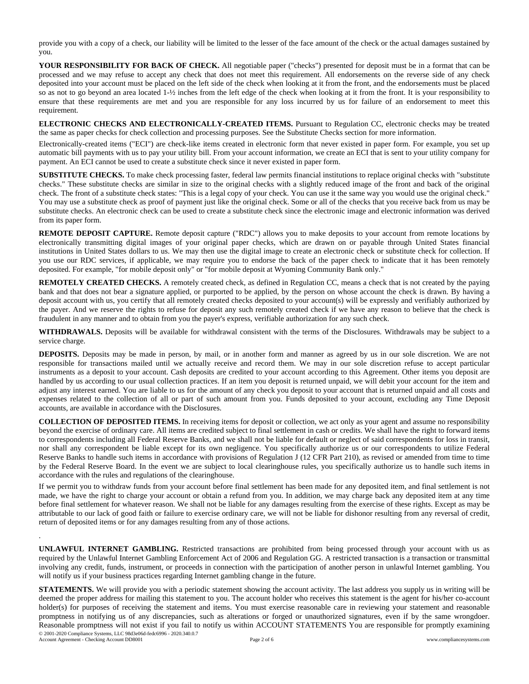provide you with a copy of a check, our liability will be limited to the lesser of the face amount of the check or the actual damages sustained by you.

**YOUR RESPONSIBILITY FOR BACK OF CHECK.** All negotiable paper ("checks") presented for deposit must be in a format that can be processed and we may refuse to accept any check that does not meet this requirement. All endorsements on the reverse side of any check deposited into your account must be placed on the left side of the check when looking at it from the front, and the endorsements must be placed so as not to go beyond an area located 1-½ inches from the left edge of the check when looking at it from the front. It is your responsibility to ensure that these requirements are met and you are responsible for any loss incurred by us for failure of an endorsement to meet this requirement.

**ELECTRONIC CHECKS AND ELECTRONICALLY-CREATED ITEMS.** Pursuant to Regulation CC, electronic checks may be treated the same as paper checks for check collection and processing purposes. See the Substitute Checks section for more information.

Electronically-created items ("ECI") are check-like items created in electronic form that never existed in paper form. For example, you set up automatic bill payments with us to pay your utility bill. From your account information, we create an ECI that is sent to your utility company for payment. An ECI cannot be used to create a substitute check since it never existed in paper form.

**SUBSTITUTE CHECKS.** To make check processing faster, federal law permits financial institutions to replace original checks with "substitute checks." These substitute checks are similar in size to the original checks with a slightly reduced image of the front and back of the original check. The front of a substitute check states: "This is a legal copy of your check. You can use it the same way you would use the original check." You may use a substitute check as proof of payment just like the original check. Some or all of the checks that you receive back from us may be substitute checks. An electronic check can be used to create a substitute check since the electronic image and electronic information was derived from its paper form.

**REMOTE DEPOSIT CAPTURE.** Remote deposit capture ("RDC") allows you to make deposits to your account from remote locations by electronically transmitting digital images of your original paper checks, which are drawn on or payable through United States financial institutions in United States dollars to us. We may then use the digital image to create an electronic check or substitute check for collection. If you use our RDC services, if applicable, we may require you to endorse the back of the paper check to indicate that it has been remotely deposited. For example, "for mobile deposit only" or "for mobile deposit at Wyoming Community Bank only."

**REMOTELY CREATED CHECKS.** A remotely created check, as defined in Regulation CC, means a check that is not created by the paying bank and that does not bear a signature applied, or purported to be applied, by the person on whose account the check is drawn. By having a deposit account with us, you certify that all remotely created checks deposited to your account(s) will be expressly and verifiably authorized by the payer. And we reserve the rights to refuse for deposit any such remotely created check if we have any reason to believe that the check is fraudulent in any manner and to obtain from you the payer's express, verifiable authorization for any such check.

**WITHDRAWALS.** Deposits will be available for withdrawal consistent with the terms of the Disclosures. Withdrawals may be subject to a service charge.

**DEPOSITS.** Deposits may be made in person, by mail, or in another form and manner as agreed by us in our sole discretion. We are not responsible for transactions mailed until we actually receive and record them. We may in our sole discretion refuse to accept particular instruments as a deposit to your account. Cash deposits are credited to your account according to this Agreement. Other items you deposit are handled by us according to our usual collection practices. If an item you deposit is returned unpaid, we will debit your account for the item and adjust any interest earned. You are liable to us for the amount of any check you deposit to your account that is returned unpaid and all costs and expenses related to the collection of all or part of such amount from you. Funds deposited to your account, excluding any Time Deposit accounts, are available in accordance with the Disclosures.

**COLLECTION OF DEPOSITED ITEMS.** In receiving items for deposit or collection, we act only as your agent and assume no responsibility beyond the exercise of ordinary care. All items are credited subject to final settlement in cash or credits. We shall have the right to forward items to correspondents including all Federal Reserve Banks, and we shall not be liable for default or neglect of said correspondents for loss in transit, nor shall any correspondent be liable except for its own negligence. You specifically authorize us or our correspondents to utilize Federal Reserve Banks to handle such items in accordance with provisions of Regulation J (12 CFR Part 210), as revised or amended from time to time by the Federal Reserve Board. In the event we are subject to local clearinghouse rules, you specifically authorize us to handle such items in accordance with the rules and regulations of the clearinghouse.

If we permit you to withdraw funds from your account before final settlement has been made for any deposited item, and final settlement is not made, we have the right to charge your account or obtain a refund from you. In addition, we may charge back any deposited item at any time before final settlement for whatever reason. We shall not be liable for any damages resulting from the exercise of these rights. Except as may be attributable to our lack of good faith or failure to exercise ordinary care, we will not be liable for dishonor resulting from any reversal of credit, return of deposited items or for any damages resulting from any of those actions.

**UNLAWFUL INTERNET GAMBLING.** Restricted transactions are prohibited from being processed through your account with us as required by the Unlawful Internet Gambling Enforcement Act of 2006 and Regulation GG. A restricted transaction is a transaction or transmittal involving any credit, funds, instrument, or proceeds in connection with the participation of another person in unlawful Internet gambling. You will notify us if your business practices regarding Internet gambling change in the future.

**STATEMENTS.** We will provide you with a periodic statement showing the account activity. The last address you supply us in writing will be deemed the proper address for mailing this statement to you. The account holder who receives this statement is the agent for his/her co-account holder(s) for purposes of receiving the statement and items. You must exercise reasonable care in reviewing your statement and reasonable promptness in notifying us of any discrepancies, such as alterations or forged or unauthorized signatures, even if by the same wrongdoer. Reasonable promptness will not exist if you fail to notify us within ACCOUNT STATEMENTS You are responsible for promptly examining © 2001-2020 Compliance Systems, LLC 98d3e06d-fedc6996 - 2020.340.0.7

Account Agreement - Checking Account DD8001 Page 2 of 6 www.compliancesystems.com

.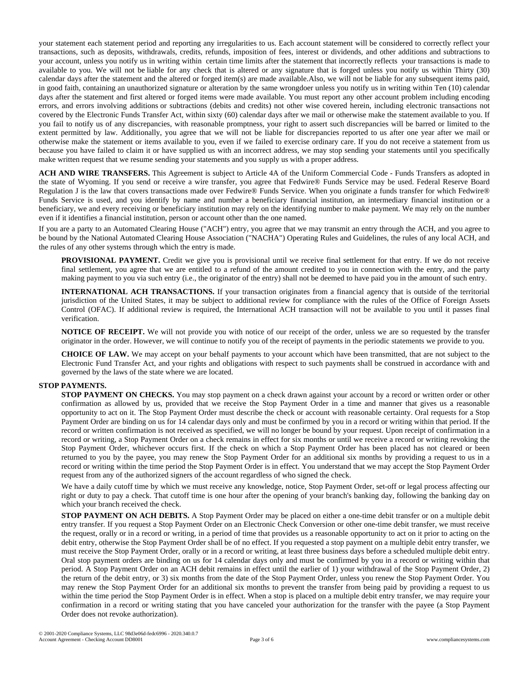your statement each statement period and reporting any irregularities to us. Each account statement will be considered to correctly reflect your transactions, such as deposits, withdrawals, credits, refunds, imposition of fees, interest or dividends, and other additions and subtractions to your account, unless you notify us in writing within certain time limits after the statement that incorrectly reflects your transactions is made to available to you. We will not be liable for any check that is altered or any signature that is forged unless you notify us within Thirty (30) calendar days after the statement and the altered or forged item(s) are made available.Also, we will not be liable for any subsequent items paid, in good faith, containing an unauthorized signature or alteration by the same wrongdoer unless you notify us in writing within Ten (10) calendar days after the statement and first altered or forged items were made available. You must report any other account problem including encoding errors, and errors involving additions or subtractions (debits and credits) not other wise covered herein, including electronic transactions not covered by the Electronic Funds Transfer Act, within sixty (60) calendar days after we mail or otherwise make the statement available to you. If you fail to notify us of any discrepancies, with reasonable promptness, your right to assert such discrepancies will be barred or limited to the extent permitted by law. Additionally, you agree that we will not be liable for discrepancies reported to us after one year after we mail or otherwise make the statement or items available to you, even if we failed to exercise ordinary care. If you do not receive a statement from us because you have failed to claim it or have supplied us with an incorrect address, we may stop sending your statements until you specifically make written request that we resume sending your statements and you supply us with a proper address.

**ACH AND WIRE TRANSFERS.** This Agreement is subject to Article 4A of the Uniform Commercial Code - Funds Transfers as adopted in the state of Wyoming. If you send or receive a wire transfer, you agree that Fedwire® Funds Service may be used. Federal Reserve Board Regulation J is the law that covers transactions made over Fedwire® Funds Service. When you originate a funds transfer for which Fedwire® Funds Service is used, and you identify by name and number a beneficiary financial institution, an intermediary financial institution or a beneficiary, we and every receiving or beneficiary institution may rely on the identifying number to make payment. We may rely on the number even if it identifies a financial institution, person or account other than the one named.

If you are a party to an Automated Clearing House ("ACH") entry, you agree that we may transmit an entry through the ACH, and you agree to be bound by the National Automated Clearing House Association ("NACHA") Operating Rules and Guidelines, the rules of any local ACH, and the rules of any other systems through which the entry is made.

**PROVISIONAL PAYMENT.** Credit we give you is provisional until we receive final settlement for that entry. If we do not receive final settlement, you agree that we are entitled to a refund of the amount credited to you in connection with the entry, and the party making payment to you via such entry (i.e., the originator of the entry) shall not be deemed to have paid you in the amount of such entry.

**INTERNATIONAL ACH TRANSACTIONS.** If your transaction originates from a financial agency that is outside of the territorial jurisdiction of the United States, it may be subject to additional review for compliance with the rules of the Office of Foreign Assets Control (OFAC). If additional review is required, the International ACH transaction will not be available to you until it passes final verification.

**NOTICE OF RECEIPT.** We will not provide you with notice of our receipt of the order, unless we are so requested by the transfer originator in the order. However, we will continue to notify you of the receipt of payments in the periodic statements we provide to you.

**CHOICE OF LAW.** We may accept on your behalf payments to your account which have been transmitted, that are not subject to the Electronic Fund Transfer Act, and your rights and obligations with respect to such payments shall be construed in accordance with and governed by the laws of the state where we are located.

## **STOP PAYMENTS.**

**STOP PAYMENT ON CHECKS.** You may stop payment on a check drawn against your account by a record or written order or other confirmation as allowed by us, provided that we receive the Stop Payment Order in a time and manner that gives us a reasonable opportunity to act on it. The Stop Payment Order must describe the check or account with reasonable certainty. Oral requests for a Stop Payment Order are binding on us for 14 calendar days only and must be confirmed by you in a record or writing within that period. If the record or written confirmation is not received as specified, we will no longer be bound by your request. Upon receipt of confirmation in a record or writing, a Stop Payment Order on a check remains in effect for six months or until we receive a record or writing revoking the Stop Payment Order, whichever occurs first. If the check on which a Stop Payment Order has been placed has not cleared or been returned to you by the payee, you may renew the Stop Payment Order for an additional six months by providing a request to us in a record or writing within the time period the Stop Payment Order is in effect. You understand that we may accept the Stop Payment Order request from any of the authorized signers of the account regardless of who signed the check.

We have a daily cutoff time by which we must receive any knowledge, notice, Stop Payment Order, set-off or legal process affecting our right or duty to pay a check. That cutoff time is one hour after the opening of your branch's banking day, following the banking day on which your branch received the check.

**STOP PAYMENT ON ACH DEBITS.** A Stop Payment Order may be placed on either a one-time debit transfer or on a multiple debit entry transfer. If you request a Stop Payment Order on an Electronic Check Conversion or other one-time debit transfer, we must receive the request, orally or in a record or writing, in a period of time that provides us a reasonable opportunity to act on it prior to acting on the debit entry, otherwise the Stop Payment Order shall be of no effect. If you requested a stop payment on a multiple debit entry transfer, we must receive the Stop Payment Order, orally or in a record or writing, at least three business days before a scheduled multiple debit entry. Oral stop payment orders are binding on us for 14 calendar days only and must be confirmed by you in a record or writing within that period. A Stop Payment Order on an ACH debit remains in effect until the earlier of 1) your withdrawal of the Stop Payment Order, 2) the return of the debit entry, or 3) six months from the date of the Stop Payment Order, unless you renew the Stop Payment Order. You may renew the Stop Payment Order for an additional six months to prevent the transfer from being paid by providing a request to us within the time period the Stop Payment Order is in effect. When a stop is placed on a multiple debit entry transfer, we may require your confirmation in a record or writing stating that you have canceled your authorization for the transfer with the payee (a Stop Payment Order does not revoke authorization).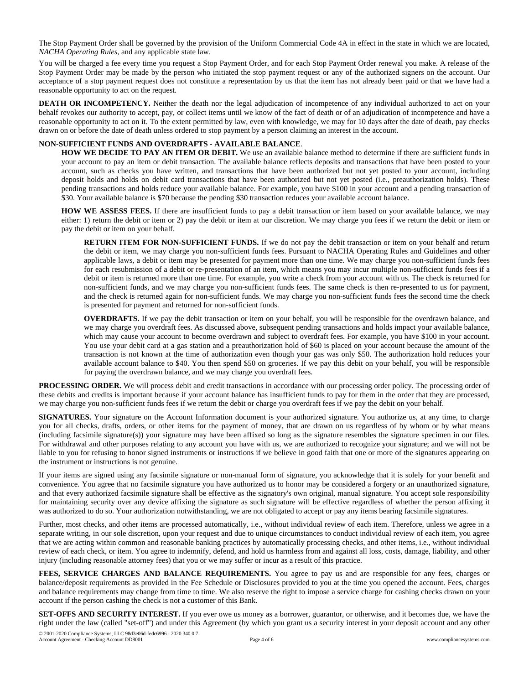The Stop Payment Order shall be governed by the provision of the Uniform Commercial Code 4A in effect in the state in which we are located, *NACHA Operating Rules*, and any applicable state law.

You will be charged a fee every time you request a Stop Payment Order, and for each Stop Payment Order renewal you make. A release of the Stop Payment Order may be made by the person who initiated the stop payment request or any of the authorized signers on the account. Our acceptance of a stop payment request does not constitute a representation by us that the item has not already been paid or that we have had a reasonable opportunity to act on the request.

**DEATH OR INCOMPETENCY.** Neither the death nor the legal adjudication of incompetence of any individual authorized to act on your behalf revokes our authority to accept, pay, or collect items until we know of the fact of death or of an adjudication of incompetence and have a reasonable opportunity to act on it. To the extent permitted by law, even with knowledge, we may for 10 days after the date of death, pay checks drawn on or before the date of death unless ordered to stop payment by a person claiming an interest in the account.

## **NON-SUFFICIENT FUNDS AND OVERDRAFTS - AVAILABLE BALANCE**.

**HOW WE DECIDE TO PAY AN ITEM OR DEBIT.** We use an available balance method to determine if there are sufficient funds in your account to pay an item or debit transaction. The available balance reflects deposits and transactions that have been posted to your account, such as checks you have written, and transactions that have been authorized but not yet posted to your account, including deposit holds and holds on debit card transactions that have been authorized but not yet posted (i.e., preauthorization holds). These pending transactions and holds reduce your available balance. For example, you have \$100 in your account and a pending transaction of \$30. Your available balance is \$70 because the pending \$30 transaction reduces your available account balance.

**HOW WE ASSESS FEES.** If there are insufficient funds to pay a debit transaction or item based on your available balance, we may either: 1) return the debit or item or 2) pay the debit or item at our discretion. We may charge you fees if we return the debit or item or pay the debit or item on your behalf.

**RETURN ITEM FOR NON-SUFFICIENT FUNDS.** If we do not pay the debit transaction or item on your behalf and return the debit or item, we may charge you non-sufficient funds fees. Pursuant to NACHA Operating Rules and Guidelines and other applicable laws, a debit or item may be presented for payment more than one time. We may charge you non-sufficient funds fees for each resubmission of a debit or re-presentation of an item, which means you may incur multiple non-sufficient funds fees if a debit or item is returned more than one time. For example, you write a check from your account with us. The check is returned for non-sufficient funds, and we may charge you non-sufficient funds fees. The same check is then re-presented to us for payment, and the check is returned again for non-sufficient funds. We may charge you non-sufficient funds fees the second time the check is presented for payment and returned for non-sufficient funds.

**OVERDRAFTS.** If we pay the debit transaction or item on your behalf, you will be responsible for the overdrawn balance, and we may charge you overdraft fees. As discussed above, subsequent pending transactions and holds impact your available balance, which may cause your account to become overdrawn and subject to overdraft fees. For example, you have \$100 in your account. You use your debit card at a gas station and a preauthorization hold of \$60 is placed on your account because the amount of the transaction is not known at the time of authorization even though your gas was only \$50. The authorization hold reduces your available account balance to \$40. You then spend \$50 on groceries. If we pay this debit on your behalf, you will be responsible for paying the overdrawn balance, and we may charge you overdraft fees.

**PROCESSING ORDER.** We will process debit and credit transactions in accordance with our processing order policy. The processing order of these debits and credits is important because if your account balance has insufficient funds to pay for them in the order that they are processed, we may charge you non-sufficient funds fees if we return the debit or charge you overdraft fees if we pay the debit on your behalf.

**SIGNATURES.** Your signature on the Account Information document is your authorized signature. You authorize us, at any time, to charge you for all checks, drafts, orders, or other items for the payment of money, that are drawn on us regardless of by whom or by what means (including facsimile signature(s)) your signature may have been affixed so long as the signature resembles the signature specimen in our files. For withdrawal and other purposes relating to any account you have with us, we are authorized to recognize your signature; and we will not be liable to you for refusing to honor signed instruments or instructions if we believe in good faith that one or more of the signatures appearing on the instrument or instructions is not genuine.

If your items are signed using any facsimile signature or non-manual form of signature, you acknowledge that it is solely for your benefit and convenience. You agree that no facsimile signature you have authorized us to honor may be considered a forgery or an unauthorized signature, and that every authorized facsimile signature shall be effective as the signatory's own original, manual signature. You accept sole responsibility for maintaining security over any device affixing the signature as such signature will be effective regardless of whether the person affixing it was authorized to do so. Your authorization notwithstanding, we are not obligated to accept or pay any items bearing facsimile signatures.

Further, most checks, and other items are processed automatically, i.e., without individual review of each item. Therefore, unless we agree in a separate writing, in our sole discretion, upon your request and due to unique circumstances to conduct individual review of each item, you agree that we are acting within common and reasonable banking practices by automatically processing checks, and other items, i.e., without individual review of each check, or item. You agree to indemnify, defend, and hold us harmless from and against all loss, costs, damage, liability, and other injury (including reasonable attorney fees) that you or we may suffer or incur as a result of this practice.

**FEES, SERVICE CHARGES AND BALANCE REQUIREMENTS.** You agree to pay us and are responsible for any fees, charges or balance/deposit requirements as provided in the Fee Schedule or Disclosures provided to you at the time you opened the account. Fees, charges and balance requirements may change from time to time. We also reserve the right to impose a service charge for cashing checks drawn on your account if the person cashing the check is not a customer of this Bank.

**SET-OFFS AND SECURITY INTEREST.** If you ever owe us money as a borrower, guarantor, or otherwise, and it becomes due, we have the right under the law (called "set-off") and under this Agreement (by which you grant us a security interest in your deposit account and any other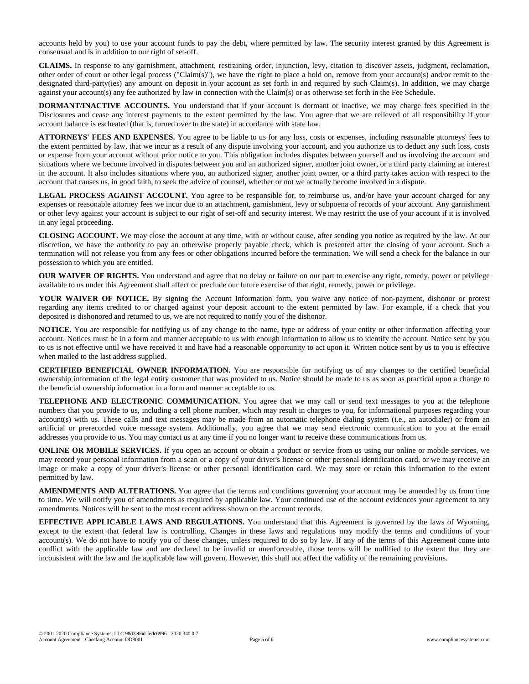accounts held by you) to use your account funds to pay the debt, where permitted by law. The security interest granted by this Agreement is consensual and is in addition to our right of set-off.

**CLAIMS.** In response to any garnishment, attachment, restraining order, injunction, levy, citation to discover assets, judgment, reclamation, other order of court or other legal process ("Claim(s)"), we have the right to place a hold on, remove from your account(s) and/or remit to the designated third-party(ies) any amount on deposit in your account as set forth in and required by such Claim(s). In addition, we may charge against your account(s) any fee authorized by law in connection with the Claim(s) or as otherwise set forth in the Fee Schedule.

**DORMANT/INACTIVE ACCOUNTS.** You understand that if your account is dormant or inactive, we may charge fees specified in the Disclosures and cease any interest payments to the extent permitted by the law. You agree that we are relieved of all responsibility if your account balance is escheated (that is, turned over to the state) in accordance with state law.

**ATTORNEYS' FEES AND EXPENSES.** You agree to be liable to us for any loss, costs or expenses, including reasonable attorneys' fees to the extent permitted by law, that we incur as a result of any dispute involving your account, and you authorize us to deduct any such loss, costs or expense from your account without prior notice to you. This obligation includes disputes between yourself and us involving the account and situations where we become involved in disputes between you and an authorized signer, another joint owner, or a third party claiming an interest in the account. It also includes situations where you, an authorized signer, another joint owner, or a third party takes action with respect to the account that causes us, in good faith, to seek the advice of counsel, whether or not we actually become involved in a dispute.

**LEGAL PROCESS AGAINST ACCOUNT.** You agree to be responsible for, to reimburse us, and/or have your account charged for any expenses or reasonable attorney fees we incur due to an attachment, garnishment, levy or subpoena of records of your account. Any garnishment or other levy against your account is subject to our right of set-off and security interest. We may restrict the use of your account if it is involved in any legal proceeding.

**CLOSING ACCOUNT.** We may close the account at any time, with or without cause, after sending you notice as required by the law. At our discretion, we have the authority to pay an otherwise properly payable check, which is presented after the closing of your account. Such a termination will not release you from any fees or other obligations incurred before the termination. We will send a check for the balance in our possession to which you are entitled.

**OUR WAIVER OF RIGHTS.** You understand and agree that no delay or failure on our part to exercise any right, remedy, power or privilege available to us under this Agreement shall affect or preclude our future exercise of that right, remedy, power or privilege.

**YOUR WAIVER OF NOTICE.** By signing the Account Information form, you waive any notice of non-payment, dishonor or protest regarding any items credited to or charged against your deposit account to the extent permitted by law. For example, if a check that you deposited is dishonored and returned to us, we are not required to notify you of the dishonor.

**NOTICE.** You are responsible for notifying us of any change to the name, type or address of your entity or other information affecting your account. Notices must be in a form and manner acceptable to us with enough information to allow us to identify the account. Notice sent by you to us is not effective until we have received it and have had a reasonable opportunity to act upon it. Written notice sent by us to you is effective when mailed to the last address supplied.

**CERTIFIED BENEFICIAL OWNER INFORMATION.** You are responsible for notifying us of any changes to the certified beneficial ownership information of the legal entity customer that was provided to us. Notice should be made to us as soon as practical upon a change to the beneficial ownership information in a form and manner acceptable to us.

**TELEPHONE AND ELECTRONIC COMMUNICATION.** You agree that we may call or send text messages to you at the telephone numbers that you provide to us, including a cell phone number, which may result in charges to you, for informational purposes regarding your account(s) with us. These calls and text messages may be made from an automatic telephone dialing system (i.e., an autodialer) or from an artificial or prerecorded voice message system. Additionally, you agree that we may send electronic communication to you at the email addresses you provide to us. You may contact us at any time if you no longer want to receive these communications from us.

**ONLINE OR MOBILE SERVICES.** If you open an account or obtain a product or service from us using our online or mobile services, we may record your personal information from a scan or a copy of your driver's license or other personal identification card, or we may receive an image or make a copy of your driver's license or other personal identification card. We may store or retain this information to the extent permitted by law.

**AMENDMENTS AND ALTERATIONS.** You agree that the terms and conditions governing your account may be amended by us from time to time. We will notify you of amendments as required by applicable law. Your continued use of the account evidences your agreement to any amendments. Notices will be sent to the most recent address shown on the account records.

**EFFECTIVE APPLICABLE LAWS AND REGULATIONS.** You understand that this Agreement is governed by the laws of Wyoming, except to the extent that federal law is controlling. Changes in these laws and regulations may modify the terms and conditions of your account(s). We do not have to notify you of these changes, unless required to do so by law. If any of the terms of this Agreement come into conflict with the applicable law and are declared to be invalid or unenforceable, those terms will be nullified to the extent that they are inconsistent with the law and the applicable law will govern. However, this shall not affect the validity of the remaining provisions.